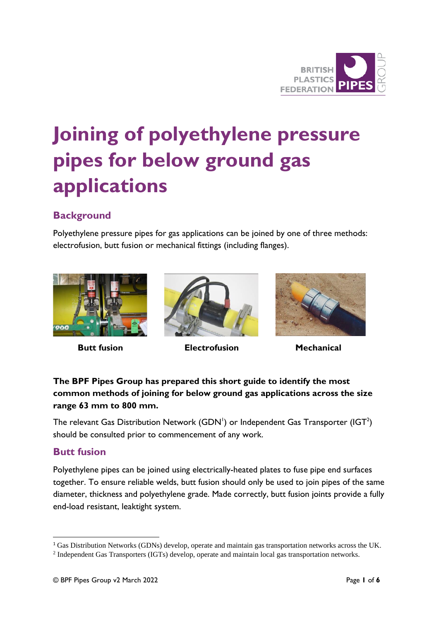

# **Joining of polyethylene pressure pipes for below ground gas applications**

# **Background**

Polyethylene pressure pipes for gas applications can be joined by one of three methods: electrofusion, butt fusion or mechanical fittings (including flanges).





 **Butt fusion Electrofusion Mechanical**



#### **The BPF Pipes Group has prepared this short guide to identify the most common methods of joining for below ground gas applications across the size range 63 mm to 800 mm.**

The relevant Gas Distribution Network (GDN<sup>1</sup>) or Independent Gas Transporter (IGT<sup>2</sup>) should be consulted prior to commencement of any work.

## **Butt fusion**

Polyethylene pipes can be joined using electrically-heated plates to fuse pipe end surfaces together. To ensure reliable welds, butt fusion should only be used to join pipes of the same diameter, thickness and polyethylene grade. Made correctly, butt fusion joints provide a fully end-load resistant, leaktight system.

<sup>&</sup>lt;sup>1</sup> Gas Distribution Networks (GDNs) develop, operate and maintain gas transportation networks across the UK.

<sup>2</sup> Independent Gas Transporters (IGTs) develop, operate and maintain local gas transportation networks.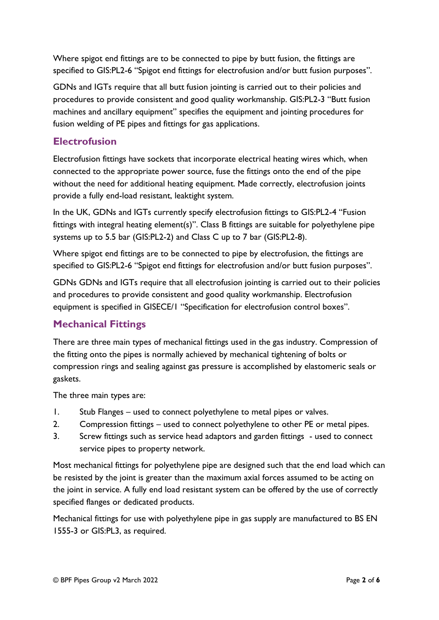Where spigot end fittings are to be connected to pipe by butt fusion, the fittings are specified to GIS:PL2-6 "Spigot end fittings for electrofusion and/or butt fusion purposes".

GDNs and IGTs require that all butt fusion jointing is carried out to their policies and procedures to provide consistent and good quality workmanship. GIS:PL2-3 "Butt fusion machines and ancillary equipment" specifies the equipment and jointing procedures for fusion welding of PE pipes and fittings for gas applications.

#### **Electrofusion**

Electrofusion fittings have sockets that incorporate electrical heating wires which, when connected to the appropriate power source, fuse the fittings onto the end of the pipe without the need for additional heating equipment. Made correctly, electrofusion joints provide a fully end-load resistant, leaktight system.

In the UK, GDNs and IGTs currently specify electrofusion fittings to GIS:PL2-4 "Fusion fittings with integral heating element(s)". Class B fittings are suitable for polyethylene pipe systems up to 5.5 bar (GIS:PL2-2) and Class C up to 7 bar (GIS:PL2-8).

Where spigot end fittings are to be connected to pipe by electrofusion, the fittings are specified to GIS:PL2-6 "Spigot end fittings for electrofusion and/or butt fusion purposes".

GDNs GDNs and IGTs require that all electrofusion jointing is carried out to their policies and procedures to provide consistent and good quality workmanship. Electrofusion equipment is specified in GISECE/1 "Specification for electrofusion control boxes".

## **Mechanical Fittings**

There are three main types of mechanical fittings used in the gas industry. Compression of the fitting onto the pipes is normally achieved by mechanical tightening of bolts or compression rings and sealing against gas pressure is accomplished by elastomeric seals or gaskets.

The three main types are:

- 1. Stub Flanges used to connect polyethylene to metal pipes or valves.
- 2. Compression fittings used to connect polyethylene to other PE or metal pipes.
- 3. Screw fittings such as service head adaptors and garden fittings used to connect service pipes to property network.

Most mechanical fittings for polyethylene pipe are designed such that the end load which can be resisted by the joint is greater than the maximum axial forces assumed to be acting on the joint in service. A fully end load resistant system can be offered by the use of correctly specified flanges or dedicated products.

Mechanical fittings for use with polyethylene pipe in gas supply are manufactured to BS EN 1555-3 or GIS:PL3, as required.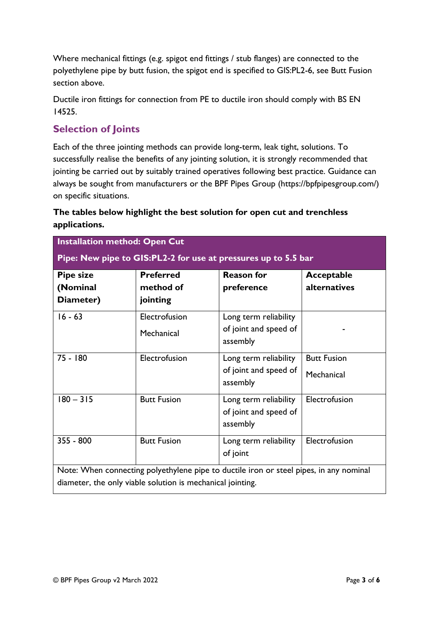Where mechanical fittings (e.g. spigot end fittings / stub flanges) are connected to the polyethylene pipe by butt fusion, the spigot end is specified to GIS:PL2-6, see Butt Fusion section above.

Ductile iron fittings for connection from PE to ductile iron should comply with BS EN 14525.

#### **Selection of Joints**

Each of the three jointing methods can provide long-term, leak tight, solutions. To successfully realise the benefits of any jointing solution, it is strongly recommended that jointing be carried out by suitably trained operatives following best practice. Guidance can always be sought from manufacturers or the BPF Pipes Group (https://bpfpipesgroup.com/) on specific situations.

#### **The tables below highlight the best solution for open cut and trenchless applications.**

| <b>Installation method: Open Cut</b>                                                   |                                           |                                                            |                                  |
|----------------------------------------------------------------------------------------|-------------------------------------------|------------------------------------------------------------|----------------------------------|
| Pipe: New pipe to GIS:PL2-2 for use at pressures up to 5.5 bar                         |                                           |                                                            |                                  |
| <b>Pipe size</b><br>(Nominal<br>Diameter)                                              | <b>Preferred</b><br>method of<br>jointing | <b>Reason for</b><br>preference                            | Acceptable<br>alternatives       |
| $16 - 63$                                                                              | Electrofusion<br>Mechanical               | Long term reliability<br>of joint and speed of<br>assembly |                                  |
| 75 - 180                                                                               | Electrofusion                             | Long term reliability<br>of joint and speed of<br>assembly | <b>Butt Fusion</b><br>Mechanical |
| $180 - 315$                                                                            | <b>Butt Fusion</b>                        | Long term reliability<br>of joint and speed of<br>assembly | Electrofusion                    |
| $355 - 800$                                                                            | <b>Butt Fusion</b>                        | Long term reliability<br>of joint                          | Electrofusion                    |
| Note: When connecting polyethylene pipe to ductile iron or steel pipes, in any nominal |                                           |                                                            |                                  |
| diameter, the only viable solution is mechanical jointing.                             |                                           |                                                            |                                  |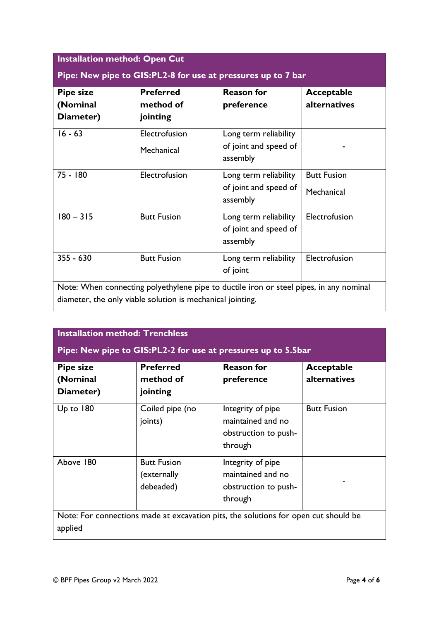| <b>Pipe size</b><br>(Nominal | <b>Preferred</b><br>method of | <b>Reason for</b><br>preference   | <b>Acceptable</b><br>alternatives |
|------------------------------|-------------------------------|-----------------------------------|-----------------------------------|
| Diameter)                    | jointing                      |                                   |                                   |
| $16 - 63$                    | Electrofusion                 | Long term reliability             |                                   |
|                              | Mechanical                    | of joint and speed of<br>assembly |                                   |
| $75 - 180$                   | Electrofusion                 | Long term reliability             | <b>Butt Fusion</b>                |
|                              |                               | of joint and speed of<br>assembly | Mechanical                        |
| $180 - 315$                  | <b>Butt Fusion</b>            | Long term reliability             | Electrofusion                     |
|                              |                               | of joint and speed of<br>assembly |                                   |
| $355 - 630$                  | <b>Butt Fusion</b>            | Long term reliability             | Electrofusion                     |
|                              |                               | of joint                          |                                   |

| <b>Pipe size</b><br>(Nominal<br>Diameter) | <b>Preferred</b><br>method of<br>jointing      | <b>Reason for</b><br>preference                                           | Acceptable<br>alternatives |
|-------------------------------------------|------------------------------------------------|---------------------------------------------------------------------------|----------------------------|
| Up to $180$                               | Coiled pipe (no<br>joints)                     | Integrity of pipe<br>maintained and no<br>obstruction to push-<br>through | <b>Butt Fusion</b>         |
| Above 180                                 | <b>Butt Fusion</b><br>(externally<br>debeaded) | Integrity of pipe<br>maintained and no<br>obstruction to push-<br>through |                            |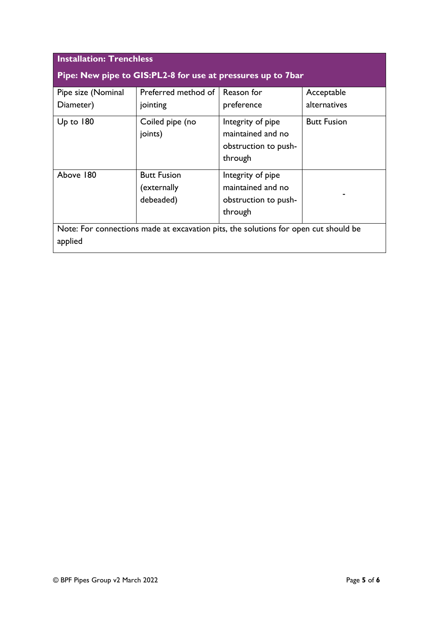| <b>Installation: Trenchless</b>                                                                |                                                |                                                                           |                    |
|------------------------------------------------------------------------------------------------|------------------------------------------------|---------------------------------------------------------------------------|--------------------|
| Pipe: New pipe to GIS:PL2-8 for use at pressures up to 7bar                                    |                                                |                                                                           |                    |
| Pipe size (Nominal                                                                             | Preferred method of                            | Reason for                                                                | Acceptable         |
| Diameter)                                                                                      | jointing                                       | preference                                                                | alternatives       |
| $Up$ to $180$                                                                                  | Coiled pipe (no<br>joints)                     | Integrity of pipe<br>maintained and no<br>obstruction to push-<br>through | <b>Butt Fusion</b> |
| Above 180                                                                                      | <b>Butt Fusion</b><br>(externally<br>debeaded) | Integrity of pipe<br>maintained and no<br>obstruction to push-<br>through |                    |
| Note: For connections made at excavation pits, the solutions for open cut should be<br>applied |                                                |                                                                           |                    |